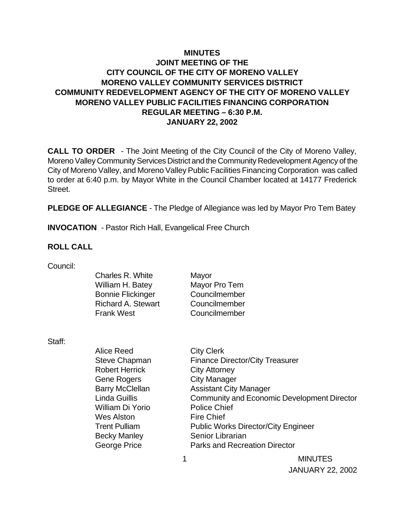## **MINUTES JOINT MEETING OF THE CITY COUNCIL OF THE CITY OF MORENO VALLEY MORENO VALLEY COMMUNITY SERVICES DISTRICT COMMUNITY REDEVELOPMENT AGENCY OF THE CITY OF MORENO VALLEY MORENO VALLEY PUBLIC FACILITIES FINANCING CORPORATION REGULAR MEETING – 6:30 P.M. JANUARY 22, 2002**

**CALL TO ORDER** - The Joint Meeting of the City Council of the City of Moreno Valley, Moreno Valley Community Services District and the Community Redevelopment Agency of the City of Moreno Valley, and Moreno Valley Public Facilities Financing Corporation was called to order at 6:40 p.m. by Mayor White in the Council Chamber located at 14177 Frederick Street.

**PLEDGE OF ALLEGIANCE** - The Pledge of Allegiance was led by Mayor Pro Tem Batey

**INVOCATION** - Pastor Rich Hall, Evangelical Free Church

#### **ROLL CALL**

| Council: |  |
|----------|--|
|          |  |

| Charles R. White          | Mayor         |
|---------------------------|---------------|
| William H. Batey          | Mayor Pro Tem |
| <b>Bonnie Flickinger</b>  | Councilmember |
| <b>Richard A. Stewart</b> | Councilmember |
| Frank West                | Councilmember |
|                           |               |

Staff:

| Alice Reed             | <b>City Clerk</b>                                  |
|------------------------|----------------------------------------------------|
| <b>Steve Chapman</b>   | <b>Finance Director/City Treasurer</b>             |
| <b>Robert Herrick</b>  | <b>City Attorney</b>                               |
| <b>Gene Rogers</b>     | <b>City Manager</b>                                |
| <b>Barry McClellan</b> | <b>Assistant City Manager</b>                      |
| <b>Linda Guillis</b>   | <b>Community and Economic Development Director</b> |
| William Di Yorio       | <b>Police Chief</b>                                |
| <b>Wes Alston</b>      | <b>Fire Chief</b>                                  |
| <b>Trent Pulliam</b>   | <b>Public Works Director/City Engineer</b>         |
| <b>Becky Manley</b>    | Senior Librarian                                   |
| <b>George Price</b>    | <b>Parks and Recreation Director</b>               |
|                        | <b>MINUTES</b>                                     |

JANUARY 22, 2002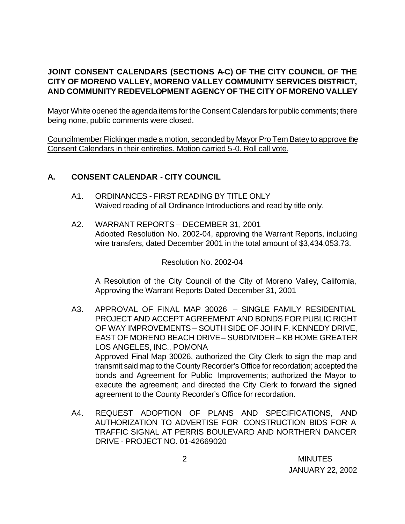# **JOINT CONSENT CALENDARS (SECTIONS A-C) OF THE CITY COUNCIL OF THE CITY OF MORENO VALLEY, MORENO VALLEY COMMUNITY SERVICES DISTRICT, AND COMMUNITY REDEVELOPMENT AGENCY OF THE CITY OF MORENO VALLEY**

Mayor White opened the agenda items for the Consent Calendars for public comments; there being none, public comments were closed.

Councilmember Flickinger made a motion, seconded by Mayor Pro Tem Batey to approve the Consent Calendars in their entireties. Motion carried 5-0. Roll call vote.

## **A. CONSENT CALENDAR** - **CITY COUNCIL**

- A1. ORDINANCES FIRST READING BY TITLE ONLY Waived reading of all Ordinance Introductions and read by title only.
- A2. WARRANT REPORTS DECEMBER 31, 2001 Adopted Resolution No. 2002-04, approving the Warrant Reports, including wire transfers, dated December 2001 in the total amount of \$3,434,053.73.

Resolution No. 2002-04

A Resolution of the City Council of the City of Moreno Valley, California, Approving the Warrant Reports Dated December 31, 2001

- A3. APPROVAL OF FINAL MAP 30026 SINGLE FAMILY RESIDENTIAL PROJECT AND ACCEPT AGREEMENT AND BONDS FOR PUBLIC RIGHT OF WAY IMPROVEMENTS – SOUTH SIDE OF JOHN F. KENNEDY DRIVE, EAST OF MORENO BEACH DRIVE – SUBDIVIDER – KB HOME GREATER LOS ANGELES, INC., POMONA Approved Final Map 30026, authorized the City Clerk to sign the map and transmit said map to the County Recorder's Office for recordation; accepted the bonds and Agreement for Public Improvements; authorized the Mayor to execute the agreement; and directed the City Clerk to forward the signed agreement to the County Recorder's Office for recordation.
- A4. REQUEST ADOPTION OF PLANS AND SPECIFICATIONS, AND AUTHORIZATION TO ADVERTISE FOR CONSTRUCTION BIDS FOR A TRAFFIC SIGNAL AT PERRIS BOULEVARD AND NORTHERN DANCER DRIVE - PROJECT NO. 01-42669020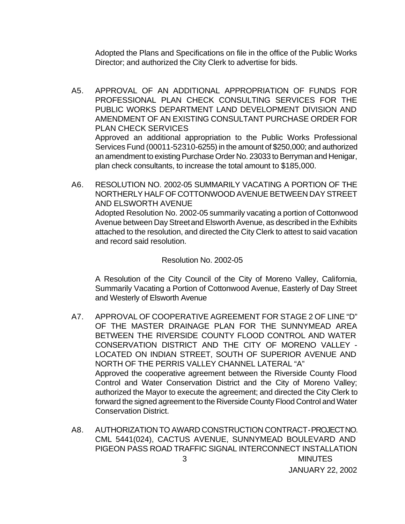Adopted the Plans and Specifications on file in the office of the Public Works Director; and authorized the City Clerk to advertise for bids.

- A5. APPROVAL OF AN ADDITIONAL APPROPRIATION OF FUNDS FOR PROFESSIONAL PLAN CHECK CONSULTING SERVICES FOR THE PUBLIC WORKS DEPARTMENT LAND DEVELOPMENT DIVISION AND AMENDMENT OF AN EXISTING CONSULTANT PURCHASE ORDER FOR PLAN CHECK SERVICES Approved an additional appropriation to the Public Works Professional Services Fund (00011-52310-6255) in the amount of \$250,000; and authorized an amendment to existing Purchase Order No. 23033 to Berryman and Henigar, plan check consultants, to increase the total amount to \$185,000.
- A6. RESOLUTION NO. 2002-05 SUMMARILY VACATING A PORTION OF THE NORTHERLY HALF OF COTTONWOOD AVENUE BETWEEN DAY STREET AND ELSWORTH AVENUE Adopted Resolution No. 2002-05 summarily vacating a portion of Cottonwood Avenue between Day Street and Elsworth Avenue, as described in the Exhibits attached to the resolution, and directed the City Clerk to attest to said vacation and record said resolution.

### Resolution No. 2002-05

A Resolution of the City Council of the City of Moreno Valley, California, Summarily Vacating a Portion of Cottonwood Avenue, Easterly of Day Street and Westerly of Elsworth Avenue

- A7. APPROVAL OF COOPERATIVE AGREEMENT FOR STAGE 2 OF LINE "D" OF THE MASTER DRAINAGE PLAN FOR THE SUNNYMEAD AREA BETWEEN THE RIVERSIDE COUNTY FLOOD CONTROL AND WATER CONSERVATION DISTRICT AND THE CITY OF MORENO VALLEY - LOCATED ON INDIAN STREET, SOUTH OF SUPERIOR AVENUE AND NORTH OF THE PERRIS VALLEY CHANNEL LATERAL "A" Approved the cooperative agreement between the Riverside County Flood Control and Water Conservation District and the City of Moreno Valley; authorized the Mayor to execute the agreement; and directed the City Clerk to forward the signed agreement to the Riverside County Flood Control and Water Conservation District.
- 3 MINUTES A8. AUTHORIZATION TO AWARD CONSTRUCTION CONTRACT - PROJECT NO. CML 5441(024), CACTUS AVENUE, SUNNYMEAD BOULEVARD AND PIGEON PASS ROAD TRAFFIC SIGNAL INTERCONNECT INSTALLATION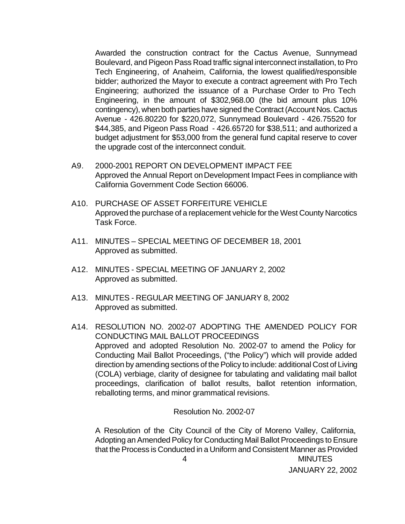Awarded the construction contract for the Cactus Avenue, Sunnymead Boulevard, and Pigeon Pass Road traffic signal interconnect installation, to Pro Tech Engineering, of Anaheim, California, the lowest qualified/responsible bidder; authorized the Mayor to execute a contract agreement with Pro Tech Engineering; authorized the issuance of a Purchase Order to Pro Tech Engineering, in the amount of \$302,968.00 (the bid amount plus 10% contingency), when both parties have signed the Contract (Account Nos. Cactus Avenue - 426.80220 for \$220,072, Sunnymead Boulevard - 426.75520 for \$44,385, and Pigeon Pass Road - 426.65720 for \$38,511; and authorized a budget adjustment for \$53,000 from the general fund capital reserve to cover the upgrade cost of the interconnect conduit.

- A9. 2000-2001 REPORT ON DEVELOPMENT IMPACT FEE Approved the Annual Report on Development Impact Fees in compliance with California Government Code Section 66006.
- A10. PURCHASE OF ASSET FORFEITURE VEHICLE Approved the purchase of a replacement vehicle for the West County Narcotics Task Force.
- A11. MINUTES SPECIAL MEETING OF DECEMBER 18, 2001 Approved as submitted.
- A12. MINUTES SPECIAL MEETING OF JANUARY 2, 2002 Approved as submitted.
- A13. MINUTES REGULAR MEETING OF JANUARY 8, 2002 Approved as submitted.
- A14. RESOLUTION NO. 2002-07 ADOPTING THE AMENDED POLICY FOR CONDUCTING MAIL BALLOT PROCEEDINGS Approved and adopted Resolution No. 2002-07 to amend the Policy for Conducting Mail Ballot Proceedings, ("the Policy") which will provide added direction by amending sections of the Policy to include: additional Cost of Living (COLA) verbiage, clarity of designee for tabulating and validating mail ballot proceedings, clarification of ballot results, ballot retention information, reballoting terms, and minor grammatical revisions.

Resolution No. 2002-07

 4 MINUTES A Resolution of the City Council of the City of Moreno Valley, California, Adopting an Amended Policy for Conducting Mail Ballot Proceedings to Ensure that the Process is Conducted in a Uniform and Consistent Manner as Provided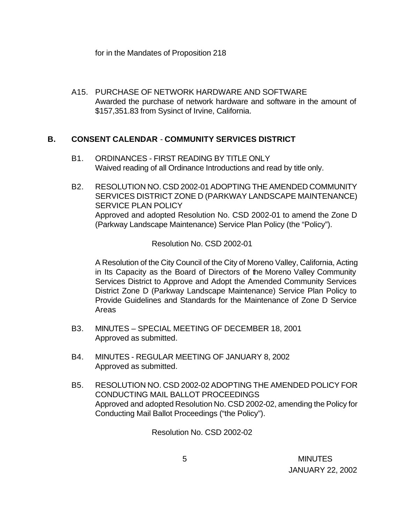for in the Mandates of Proposition 218

A15. PURCHASE OF NETWORK HARDWARE AND SOFTWARE Awarded the purchase of network hardware and software in the amount of \$157,351.83 from Sysinct of Irvine, California.

### **B. CONSENT CALENDAR** - **COMMUNITY SERVICES DISTRICT**

- B1. ORDINANCES FIRST READING BY TITLE ONLY Waived reading of all Ordinance Introductions and read by title only.
- B2. RESOLUTION NO. CSD 2002-01 ADOPTING THE AMENDED COMMUNITY SERVICES DISTRICT ZONE D (PARKWAY LANDSCAPE MAINTENANCE) SERVICE PLAN POLICY Approved and adopted Resolution No. CSD 2002-01 to amend the Zone D (Parkway Landscape Maintenance) Service Plan Policy (the "Policy").

Resolution No. CSD 2002-01

A Resolution of the City Council of the City of Moreno Valley, California, Acting in Its Capacity as the Board of Directors of the Moreno Valley Community Services District to Approve and Adopt the Amended Community Services District Zone D (Parkway Landscape Maintenance) Service Plan Policy to Provide Guidelines and Standards for the Maintenance of Zone D Service Areas

- B3. MINUTES SPECIAL MEETING OF DECEMBER 18, 2001 Approved as submitted.
- B4. MINUTES REGULAR MEETING OF JANUARY 8, 2002 Approved as submitted.
- B5. RESOLUTION NO. CSD 2002-02 ADOPTING THE AMENDED POLICY FOR CONDUCTING MAIL BALLOT PROCEEDINGS Approved and adopted Resolution No. CSD 2002-02, amending the Policy for Conducting Mail Ballot Proceedings ("the Policy").

Resolution No. CSD 2002-02

 5 MINUTES JANUARY 22, 2002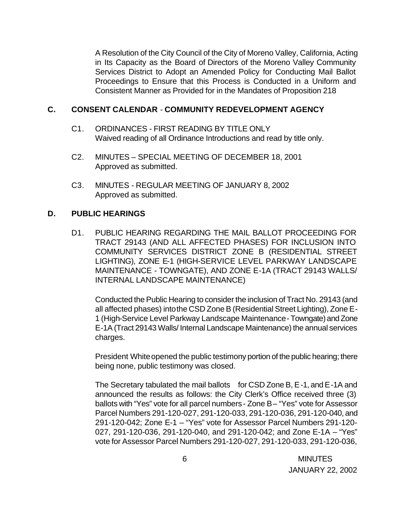A Resolution of the City Council of the City of Moreno Valley, California, Acting in Its Capacity as the Board of Directors of the Moreno Valley Community Services District to Adopt an Amended Policy for Conducting Mail Ballot Proceedings to Ensure that this Process is Conducted in a Uniform and Consistent Manner as Provided for in the Mandates of Proposition 218

### **C. CONSENT CALENDAR** - **COMMUNITY REDEVELOPMENT AGENCY**

- C1. ORDINANCES FIRST READING BY TITLE ONLY Waived reading of all Ordinance Introductions and read by title only.
- C2. MINUTES SPECIAL MEETING OF DECEMBER 18, 2001 Approved as submitted.
- C3. MINUTES REGULAR MEETING OF JANUARY 8, 2002 Approved as submitted.

### **D. PUBLIC HEARINGS**

D1. PUBLIC HEARING REGARDING THE MAIL BALLOT PROCEEDING FOR TRACT 29143 (AND ALL AFFECTED PHASES) FOR INCLUSION INTO COMMUNITY SERVICES DISTRICT ZONE B (RESIDENTIAL STREET LIGHTING), ZONE E-1 (HIGH-SERVICE LEVEL PARKWAY LANDSCAPE MAINTENANCE - TOWNGATE), AND ZONE E-1A (TRACT 29143 WALLS/ INTERNAL LANDSCAPE MAINTENANCE)

Conducted the Public Hearing to consider the inclusion of Tract No. 29143 (and all affected phases) into the CSD Zone B (Residential Street Lighting), Zone E-1 (High-Service Level Parkway Landscape Maintenance - Towngate) and Zone E-1A (Tract 29143 Walls/ Internal Landscape Maintenance) the annual services charges.

President White opened the public testimony portion of the public hearing; there being none, public testimony was closed.

The Secretary tabulated the mail ballots for CSD Zone B, E-1, and E-1A and announced the results as follows: the City Clerk's Office received three (3) ballots with "Yes" vote for all parcel numbers - Zone B- "Yes" vote for Assessor Parcel Numbers 291-120-027, 291-120-033, 291-120-036, 291-120-040, and 291-120-042; Zone E-1 – "Yes" vote for Assessor Parcel Numbers 291-120- 027, 291-120-036, 291-120-040, and 291-120-042; and Zone E-1A – "Yes" vote for Assessor Parcel Numbers 291-120-027, 291-120-033, 291-120-036,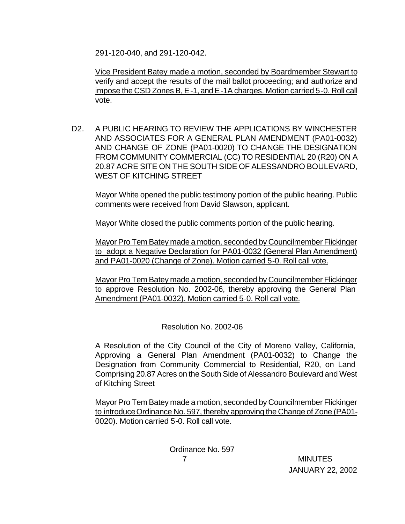291-120-040, and 291-120-042.

Vice President Batey made a motion, seconded by Boardmember Stewart to verify and accept the results of the mail ballot proceeding; and authorize and impose the CSD Zones B, E-1, and E-1A charges. Motion carried 5-0. Roll call vote.

D2. A PUBLIC HEARING TO REVIEW THE APPLICATIONS BY WINCHESTER AND ASSOCIATES FOR A GENERAL PLAN AMENDMENT (PA01-0032) AND CHANGE OF ZONE (PA01-0020) TO CHANGE THE DESIGNATION FROM COMMUNITY COMMERCIAL (CC) TO RESIDENTIAL 20 (R20) ON A 20.87 ACRE SITE ON THE SOUTH SIDE OF ALESSANDRO BOULEVARD, WEST OF KITCHING STREET

Mayor White opened the public testimony portion of the public hearing. Public comments were received from David Slawson, applicant.

Mayor White closed the public comments portion of the public hearing.

Mayor Pro Tem Batey made a motion, seconded by Councilmember Flickinger to adopt a Negative Declaration for PA01-0032 (General Plan Amendment) and PA01-0020 (Change of Zone). Motion carried 5-0. Roll call vote.

Mayor Pro Tem Batey made a motion, seconded by Councilmember Flickinger to approve Resolution No. 2002-06, thereby approving the General Plan Amendment (PA01-0032). Motion carried 5-0. Roll call vote.

Resolution No. 2002-06

A Resolution of the City Council of the City of Moreno Valley, California, Approving a General Plan Amendment (PA01-0032) to Change the Designation from Community Commercial to Residential, R20, on Land Comprising 20.87 Acres on the South Side of Alessandro Boulevard and West of Kitching Street

Mayor Pro Tem Batey made a motion, seconded by Councilmember Flickinger to introduce Ordinance No. 597, thereby approving the Change of Zone (PA01- 0020). Motion carried 5-0. Roll call vote.

> 7 MINUTES Ordinance No. 597

JANUARY 22, 2002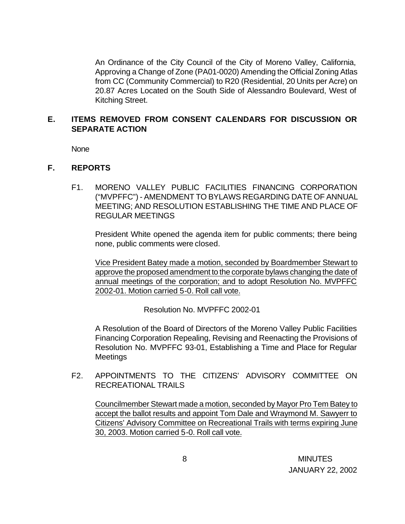An Ordinance of the City Council of the City of Moreno Valley, California, Approving a Change of Zone (PA01-0020) Amending the Official Zoning Atlas from CC (Community Commercial) to R20 (Residential, 20 Units per Acre) on 20.87 Acres Located on the South Side of Alessandro Boulevard, West of Kitching Street.

## **E. ITEMS REMOVED FROM CONSENT CALENDARS FOR DISCUSSION OR SEPARATE ACTION**

None

### **F. REPORTS**

F1. MORENO VALLEY PUBLIC FACILITIES FINANCING CORPORATION ("MVPFFC") - AMENDMENT TO BYLAWS REGARDING DATE OF ANNUAL MEETING; AND RESOLUTION ESTABLISHING THE TIME AND PLACE OF REGULAR MEETINGS

President White opened the agenda item for public comments; there being none, public comments were closed.

Vice President Batey made a motion, seconded by Boardmember Stewart to approve the proposed amendment to the corporate bylaws changing the date of annual meetings of the corporation; and to adopt Resolution No. MVPFFC 2002-01. Motion carried 5-0. Roll call vote.

Resolution No. MVPFFC 2002-01

A Resolution of the Board of Directors of the Moreno Valley Public Facilities Financing Corporation Repealing, Revising and Reenacting the Provisions of Resolution No. MVPFFC 93-01, Establishing a Time and Place for Regular **Meetings** 

### F2. APPOINTMENTS TO THE CITIZENS' ADVISORY COMMITTEE ON RECREATIONAL TRAILS

Councilmember Stewart made a motion, seconded by Mayor Pro Tem Batey to accept the ballot results and appoint Tom Dale and Wraymond M. Sawyerr to Citizens' Advisory Committee on Recreational Trails with terms expiring June 30, 2003. Motion carried 5-0. Roll call vote.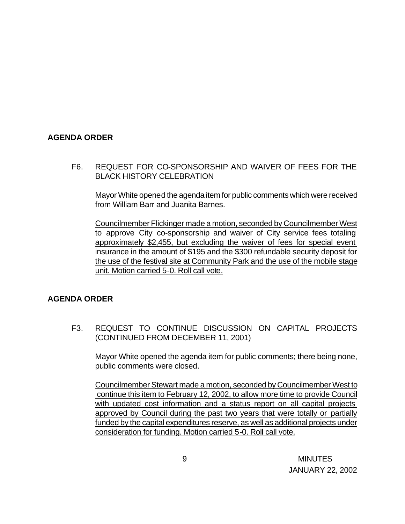### **AGENDA ORDER**

F6. REQUEST FOR CO-SPONSORSHIP AND WAIVER OF FEES FOR THE BLACK HISTORY CELEBRATION

Mayor White opened the agenda item for public comments which were received from William Barr and Juanita Barnes.

Councilmember Flickinger made a motion, seconded by Councilmember West to approve City co-sponsorship and waiver of City service fees totaling approximately \$2,455, but excluding the waiver of fees for special event insurance in the amount of \$195 and the \$300 refundable security deposit for the use of the festival site at Community Park and the use of the mobile stage unit. Motion carried 5-0. Roll call vote.

### **AGENDA ORDER**

F3. REQUEST TO CONTINUE DISCUSSION ON CAPITAL PROJECTS (CONTINUED FROM DECEMBER 11, 2001)

Mayor White opened the agenda item for public comments; there being none, public comments were closed.

Councilmember Stewart made a motion, seconded by Councilmember West to continue this item to February 12, 2002, to allow more time to provide Council with updated cost information and a status report on all capital projects approved by Council during the past two years that were totally or partially funded by the capital expenditures reserve, as well as additional projects under consideration for funding. Motion carried 5-0. Roll call vote.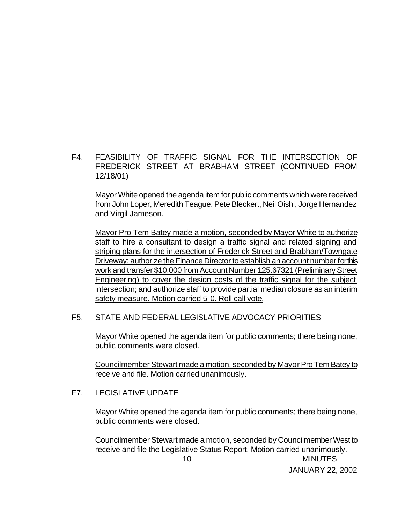F4. FEASIBILITY OF TRAFFIC SIGNAL FOR THE INTERSECTION OF FREDERICK STREET AT BRABHAM STREET (CONTINUED FROM 12/18/01)

Mayor White opened the agenda item for public comments which were received from John Loper, Meredith Teague, Pete Bleckert, Neil Oishi, Jorge Hernandez and Virgil Jameson.

Mayor Pro Tem Batey made a motion, seconded by Mayor White to authorize staff to hire a consultant to design a traffic signal and related signing and striping plans for the intersection of Frederick Street and Brabham/Towngate Driveway; authorize the Finance Director to establish an account number for this work and transfer \$10,000 from Account Number 125.67321 (Preliminary Street Engineering) to cover the design costs of the traffic signal for the subject intersection; and authorize staff to provide partial median closure as an interim safety measure. Motion carried 5-0. Roll call vote.

### F5. STATE AND FEDERAL LEGISLATIVE ADVOCACY PRIORITIES

Mayor White opened the agenda item for public comments; there being none, public comments were closed.

Councilmember Stewart made a motion, seconded by Mayor Pro Tem Batey to receive and file. Motion carried unanimously.

#### F7. LEGISLATIVE UPDATE

Mayor White opened the agenda item for public comments; there being none, public comments were closed.

 10 MINUTES Councilmember Stewart made a motion, seconded by Councilmember West to receive and file the Legislative Status Report. Motion carried unanimously.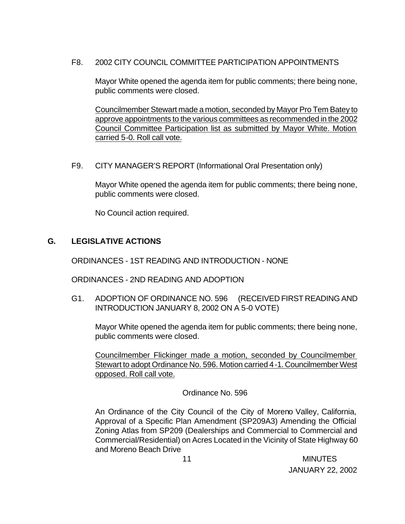### F8. 2002 CITY COUNCIL COMMITTEE PARTICIPATION APPOINTMENTS

Mayor White opened the agenda item for public comments; there being none, public comments were closed.

Councilmember Stewart made a motion, seconded by Mayor Pro Tem Batey to approve appointments to the various committees as recommended in the 2002 Council Committee Participation list as submitted by Mayor White. Motion carried 5-0. Roll call vote.

F9. CITY MANAGER'S REPORT (Informational Oral Presentation only)

Mayor White opened the agenda item for public comments; there being none, public comments were closed.

No Council action required.

## **G. LEGISLATIVE ACTIONS**

ORDINANCES - 1ST READING AND INTRODUCTION - NONE

ORDINANCES - 2ND READING AND ADOPTION

G1. ADOPTION OF ORDINANCE NO. 596 (RECEIVED FIRST READING AND INTRODUCTION JANUARY 8, 2002 ON A 5-0 VOTE)

Mayor White opened the agenda item for public comments; there being none, public comments were closed.

Councilmember Flickinger made a motion, seconded by Councilmember Stewart to adopt Ordinance No. 596. Motion carried 4-1. Councilmember West opposed. Roll call vote.

### Ordinance No. 596

An Ordinance of the City Council of the City of Moreno Valley, California, Approval of a Specific Plan Amendment (SP209A3) Amending the Official Zoning Atlas from SP209 (Dealerships and Commercial to Commercial and Commercial/Residential) on Acres Located in the Vicinity of State Highway 60 and Moreno Beach Drive

 11 MINUTES JANUARY 22, 2002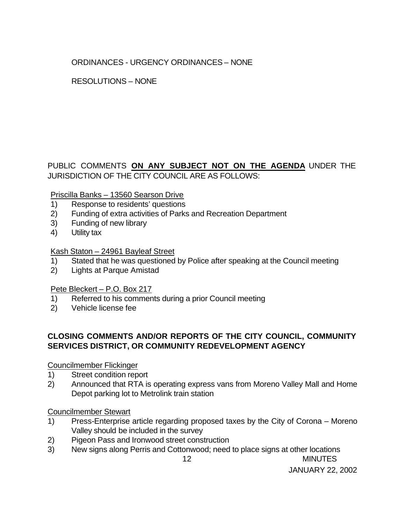# ORDINANCES - URGENCY ORDINANCES – NONE

## RESOLUTIONS – NONE

## PUBLIC COMMENTS **ON ANY SUBJECT NOT ON THE AGENDA** UNDER THE JURISDICTION OF THE CITY COUNCIL ARE AS FOLLOWS:

### Priscilla Banks – 13560 Searson Drive

- 1) Response to residents' questions
- 2) Funding of extra activities of Parks and Recreation Department
- 3) Funding of new library
- 4) Utility tax

### Kash Staton – 24961 Bayleaf Street

- 1) Stated that he was questioned by Police after speaking at the Council meeting
- 2) Lights at Parque Amistad

### Pete Bleckert – P.O. Box 217

- 1) Referred to his comments during a prior Council meeting
- 2) Vehicle license fee

## **CLOSING COMMENTS AND/OR REPORTS OF THE CITY COUNCIL, COMMUNITY SERVICES DISTRICT, OR COMMUNITY REDEVELOPMENT AGENCY**

### Councilmember Flickinger

- 1) Street condition report
- 2) Announced that RTA is operating express vans from Moreno Valley Mall and Home Depot parking lot to Metrolink train station

### Councilmember Stewart

- 1) Press-Enterprise article regarding proposed taxes by the City of Corona Moreno Valley should be included in the survey
- 2) Pigeon Pass and Ironwood street construction
- 12 MINUTES 3) New signs along Perris and Cottonwood; need to place signs at other locations

JANUARY 22, 2002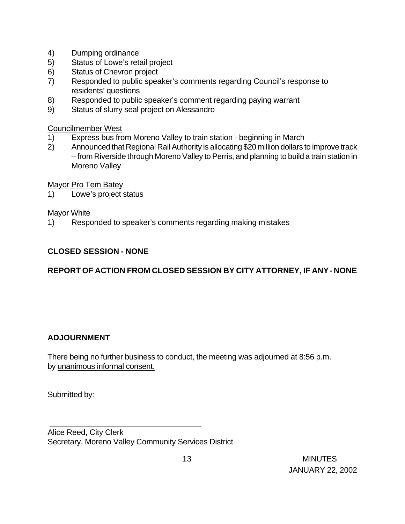- 4) Dumping ordinance
- 5) Status of Lowe's retail project
- 6) Status of Chevron project
- 7) Responded to public speaker's comments regarding Council's response to residents' questions
- 8) Responded to public speaker's comment regarding paying warrant
- 9) Status of slurry seal project on Alessandro

Councilmember West

- 1) Express bus from Moreno Valley to train station beginning in March
- 2) Announced that Regional Rail Authority is allocating \$20 million dollars to improve track – from Riverside through Moreno Valley to Perris, and planning to build a train station in Moreno Valley

Mayor Pro Tem Batey

1) Lowe's project status

### Mayor White

1) Responded to speaker's comments regarding making mistakes

## **CLOSED SESSION - NONE**

# **REPORT OF ACTION FROM CLOSED SESSION BY CITY ATTORNEY, IF ANY - NONE**

### **ADJOURNMENT**

There being no further business to conduct, the meeting was adjourned at 8:56 p.m. by unanimous informal consent.

Submitted by:

Alice Reed, City Clerk Secretary, Moreno Valley Community Services District

\_\_\_\_\_\_\_\_\_\_\_\_\_\_\_\_\_\_\_\_\_\_\_\_\_\_\_\_\_\_\_\_\_\_